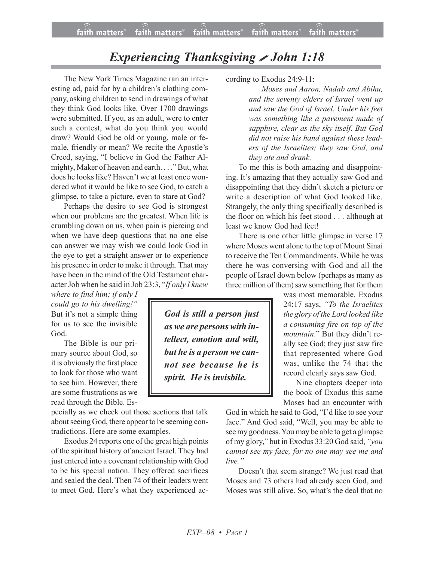## *Experiencing Thanksgiving John 1:18*

The New York Times Magazine ran an interesting ad, paid for by a children's clothing company, asking children to send in drawings of what they think God looks like. Over 1700 drawings were submitted. If you, as an adult, were to enter such a contest, what do you think you would draw? Would God be old or young, male or female, friendly or mean? We recite the Apostle's Creed, saying, "I believe in God the Father Almighty, Maker of heaven and earth. . . ." But, what does he looks like? Haven't we at least once wondered what it would be like to see God, to catch a glimpse, to take a picture, even to stare at God?

Perhaps the desire to see God is strongest when our problems are the greatest. When life is crumbling down on us, when pain is piercing and when we have deep questions that no one else can answer we may wish we could look God in the eye to get a straight answer or to experience his presence in order to make it through. That may have been in the mind of the Old Testament character Job when he said in Job 23:3, "*If only I knew*

*where to find him; if only I could go to his dwelling!"* But it's not a simple thing for us to see the invisible God.

The Bible is our primary source about God, so it is obviously the first place to look for those who want to see him. However, there are some frustrations as we read through the Bible. Es-

pecially as we check out those sections that talk about seeing God, there appear to be seeming contradictions. Here are some examples.

Exodus 24 reports one of the great high points of the spiritual history of ancient Israel. They had just entered into a covenant relationship with God to be his special nation. They offered sacrifices and sealed the deal. Then 74 of their leaders went to meet God. Here's what they experienced ac-

*God is still a person just as we are persons with intellect, emotion and will, but he is a person we cannot see because he is spirit. He is invisbile.*

cording to Exodus 24:9-11:

*Moses and Aaron, Nadab and Abihu, and the seventy elders of Israel went up and saw the God of Israel. Under his feet was something like a pavement made of sapphire, clear as the sky itself. But God did not raise his hand against these leaders of the Israelites; they saw God, and they ate and drank.*

To me this is both amazing and disappointing. It's amazing that they actually saw God and disappointing that they didn't sketch a picture or write a description of what God looked like. Strangely, the only thing specifically described is the floor on which his feet stood . . . although at least we know God had feet!

There is one other little glimpse in verse 17 where Moses went alone to the top of Mount Sinai to receive the Ten Commandments. While he was there he was conversing with God and all the people of Israel down below (perhaps as many as three million of them) saw something that for them

> was most memorable. Exodus 24:17 says, *"To the Israelites the glory of the Lord looked like a consuming fire on top of the mountain*." But they didn't really see God; they just saw fire that represented where God was, unlike the 74 that the record clearly says saw God.

Nine chapters deeper into the book of Exodus this same Moses had an encounter with

God in which he said to God, "I'd like to see your face." And God said, "Well, you may be able to see my goodness. You may be able to get a glimpse of my glory," but in Exodus 33:20 God said, *"you cannot see my face, for no one may see me and live."*

Doesn't that seem strange? We just read that Moses and 73 others had already seen God, and Moses was still alive. So, what's the deal that no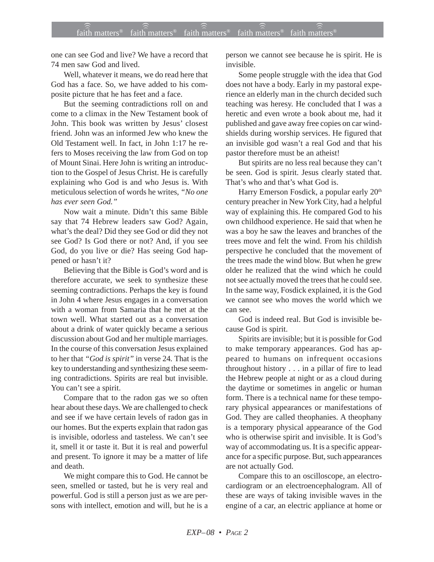one can see God and live? We have a record that 74 men saw God and lived.

Well, whatever it means, we do read here that God has a face. So, we have added to his composite picture that he has feet and a face.

But the seeming contradictions roll on and come to a climax in the New Testament book of John. This book was written by Jesus' closest friend. John was an informed Jew who knew the Old Testament well. In fact, in John 1:17 he refers to Moses receiving the law from God on top of Mount Sinai. Here John is writing an introduction to the Gospel of Jesus Christ. He is carefully explaining who God is and who Jesus is. With meticulous selection of words he writes, *"No one has ever seen God."*

Now wait a minute. Didn't this same Bible say that 74 Hebrew leaders saw God? Again, what's the deal? Did they see God or did they not see God? Is God there or not? And, if you see God, do you live or die? Has seeing God happened or hasn't it?

Believing that the Bible is God's word and is therefore accurate, we seek to synthesize these seeming contradictions. Perhaps the key is found in John 4 where Jesus engages in a conversation with a woman from Samaria that he met at the town well. What started out as a conversation about a drink of water quickly became a serious discussion about God and her multiple marriages. In the course of this conversation Jesus explained to her that *"God is spirit"* in verse 24*.* That is the key to understanding and synthesizing these seeming contradictions. Spirits are real but invisible. You can't see a spirit.

Compare that to the radon gas we so often hear about these days. We are challenged to check and see if we have certain levels of radon gas in our homes. But the experts explain that radon gas is invisible, odorless and tasteless. We can't see it, smell it or taste it. But it is real and powerful and present. To ignore it may be a matter of life and death.

We might compare this to God. He cannot be seen, smelled or tasted, but he is very real and powerful. God is still a person just as we are persons with intellect, emotion and will, but he is a person we cannot see because he is spirit. He is invisible.

Some people struggle with the idea that God does not have a body. Early in my pastoral experience an elderly man in the church decided such teaching was heresy. He concluded that I was a heretic and even wrote a book about me, had it published and gave away free copies on car windshields during worship services. He figured that an invisible god wasn't a real God and that his pastor therefore must be an atheist!

But spirits are no less real because they can't be seen. God is spirit. Jesus clearly stated that. That's who and that's what God is.

Harry Emerson Fosdick, a popular early 20<sup>th</sup> century preacher in New York City, had a helpful way of explaining this. He compared God to his own childhood experience. He said that when he was a boy he saw the leaves and branches of the trees move and felt the wind. From his childish perspective he concluded that the movement of the trees made the wind blow. But when he grew older he realized that the wind which he could not see actually moved the trees that he could see. In the same way, Fosdick explained, it is the God we cannot see who moves the world which we can see.

God is indeed real. But God is invisible because God is spirit.

Spirits are invisible; but it is possible for God to make temporary appearances. God has appeared to humans on infrequent occasions throughout history . . . in a pillar of fire to lead the Hebrew people at night or as a cloud during the daytime or sometimes in angelic or human form. There is a technical name for these temporary physical appearances or manifestations of God. They are called theophanies. A theophany is a temporary physical appearance of the God who is otherwise spirit and invisible. It is God's way of accommodating us. It is a specific appearance for a specific purpose. But, such appearances are not actually God.

Compare this to an oscilloscope, an electrocardiogram or an electroencephalogram. All of these are ways of taking invisible waves in the engine of a car, an electric appliance at home or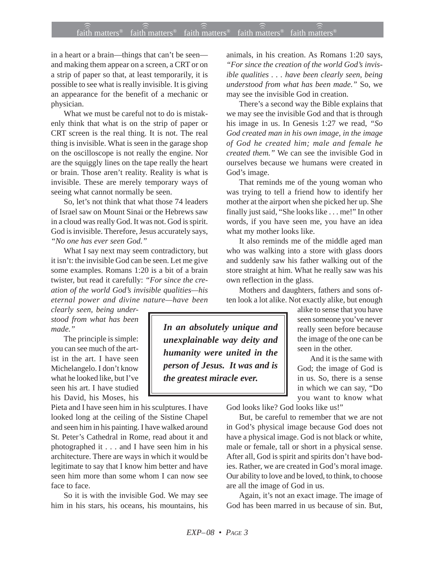## $f$ ait $\widehat{\widehat{\widehat{\mathbb{R}}}}$  matters® faith matters® ) faith matters® 1 faith matters®

in a heart or a brain—things that can't be seen and making them appear on a screen, a CRT or on a strip of paper so that, at least temporarily, it is possible to see what is really invisible. It is giving an appearance for the benefit of a mechanic or physician.

What we must be careful not to do is mistakenly think that what is on the strip of paper or CRT screen is the real thing. It is not. The real thing is invisible. What is seen in the garage shop on the oscilloscope is not really the engine. Nor are the squiggly lines on the tape really the heart or brain. Those aren't reality. Reality is what is invisible. These are merely temporary ways of seeing what cannot normally be seen.

So, let's not think that what those 74 leaders of Israel saw on Mount Sinai or the Hebrews saw in a cloud was really God. It was not. God is spirit. God is invisible. Therefore, Jesus accurately says, *"No one has ever seen God."*

What I say next may seem contradictory, but it isn't: the invisible God can be seen. Let me give some examples. Romans 1:20 is a bit of a brain twister, but read it carefully: *"For* s*ince the creation of the world God's invisible qualities—his eternal power and divine nature—have been*

*clearly seen, being understood from what has been made."*

The principle is simple: you can see much of the artist in the art. I have seen Michelangelo. I don't know what he looked like, but I've seen his art. I have studied his David, his Moses, his

Pieta and I have seen him in his sculptures. I have looked long at the ceiling of the Sistine Chapel and seen him in his painting. I have walked around St. Peter's Cathedral in Rome, read about it and photographed it . . . and I have seen him in his architecture. There are ways in which it would be legitimate to say that I know him better and have seen him more than some whom I can now see face to face.

So it is with the invisible God. We may see him in his stars, his oceans, his mountains, his animals, in his creation. As Romans 1:20 says, *"For since the creation of the world God's invisible qualities . . . have been clearly seen, being understood from what has been made."* So, we may see the invisible God in creation.

There's a second way the Bible explains that we may see the invisible God and that is through his image in us. In Genesis 1:27 we read, *"So God created man in his own image, in the image of God he created him; male and female he created them."* We can see the invisible God in ourselves because we humans were created in God's image.

That reminds me of the young woman who was trying to tell a friend how to identify her mother at the airport when she picked her up. She finally just said, "She looks like . . . me!" In other words, if you have seen me, you have an idea what my mother looks like.

It also reminds me of the middle aged man who was walking into a store with glass doors and suddenly saw his father walking out of the store straight at him. What he really saw was his own reflection in the glass.

Mothers and daughters, fathers and sons often look a lot alike. Not exactly alike, but enough

*In an absolutely unique and unexplainable way deity and humanity were united in the person of Jesus. It was and is the greatest miracle ever.*

alike to sense that you have seen someone you've never really seen before because the image of the one can be seen in the other.

And it is the same with God; the image of God is in us. So, there is a sense in which we can say, "Do you want to know what

God looks like? God looks like us!"

But, be careful to remember that we are not in God's physical image because God does not have a physical image. God is not black or white, male or female, tall or short in a physical sense. After all, God is spirit and spirits don't have bodies. Rather, we are created in God's moral image. Our ability to love and be loved, to think, to choose are all the image of God in us.

Again, it's not an exact image. The image of God has been marred in us because of sin. But,